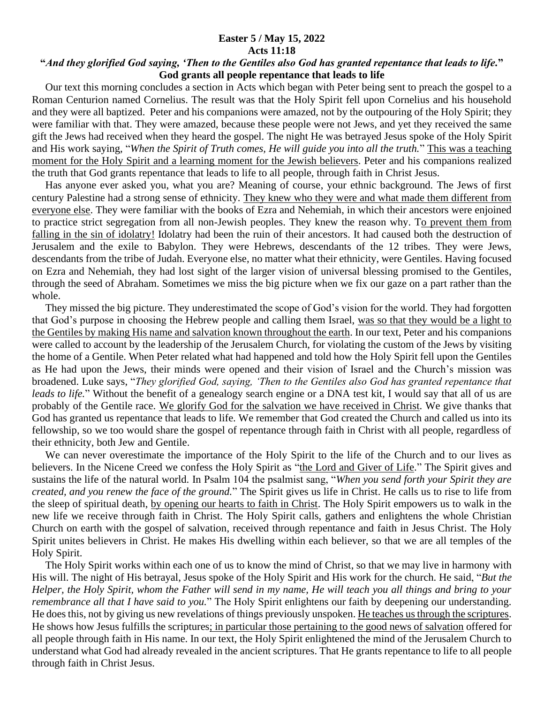## **Easter 5 / May 15, 2022 Acts 11:18**

## **"***And they glorified God saying, 'Then to the Gentiles also God has granted repentance that leads to life.***" God grants all people repentance that leads to life**

 Our text this morning concludes a section in Acts which began with Peter being sent to preach the gospel to a Roman Centurion named Cornelius. The result was that the Holy Spirit fell upon Cornelius and his household and they were all baptized. Peter and his companions were amazed, not by the outpouring of the Holy Spirit; they were familiar with that. They were amazed, because these people were not Jews, and yet they received the same gift the Jews had received when they heard the gospel. The night He was betrayed Jesus spoke of the Holy Spirit and His work saying, "*When the Spirit of Truth comes, He will guide you into all the truth.*" This was a teaching moment for the Holy Spirit and a learning moment for the Jewish believers. Peter and his companions realized the truth that God grants repentance that leads to life to all people, through faith in Christ Jesus.

 Has anyone ever asked you, what you are? Meaning of course, your ethnic background. The Jews of first century Palestine had a strong sense of ethnicity. They knew who they were and what made them different from everyone else. They were familiar with the books of Ezra and Nehemiah, in which their ancestors were enjoined to practice strict segregation from all non-Jewish peoples. They knew the reason why. To prevent them from falling in the sin of idolatry! Idolatry had been the ruin of their ancestors. It had caused both the destruction of Jerusalem and the exile to Babylon. They were Hebrews, descendants of the 12 tribes. They were Jews, descendants from the tribe of Judah. Everyone else, no matter what their ethnicity, were Gentiles. Having focused on Ezra and Nehemiah, they had lost sight of the larger vision of universal blessing promised to the Gentiles, through the seed of Abraham. Sometimes we miss the big picture when we fix our gaze on a part rather than the whole.

 They missed the big picture. They underestimated the scope of God's vision for the world. They had forgotten that God's purpose in choosing the Hebrew people and calling them Israel, was so that they would be a light to the Gentiles by making His name and salvation known throughout the earth. In our text, Peter and his companions were called to account by the leadership of the Jerusalem Church, for violating the custom of the Jews by visiting the home of a Gentile. When Peter related what had happened and told how the Holy Spirit fell upon the Gentiles as He had upon the Jews, their minds were opened and their vision of Israel and the Church's mission was broadened. Luke says, "*They glorified God, saying, 'Then to the Gentiles also God has granted repentance that leads to life.*" Without the benefit of a genealogy search engine or a DNA test kit, I would say that all of us are probably of the Gentile race. We glorify God for the salvation we have received in Christ. We give thanks that God has granted us repentance that leads to life. We remember that God created the Church and called us into its fellowship, so we too would share the gospel of repentance through faith in Christ with all people, regardless of their ethnicity, both Jew and Gentile.

 We can never overestimate the importance of the Holy Spirit to the life of the Church and to our lives as believers. In the Nicene Creed we confess the Holy Spirit as "the Lord and Giver of Life." The Spirit gives and sustains the life of the natural world. In Psalm 104 the psalmist sang, "*When you send forth your Spirit they are created, and you renew the face of the ground.*" The Spirit gives us life in Christ. He calls us to rise to life from the sleep of spiritual death, by opening our hearts to faith in Christ. The Holy Spirit empowers us to walk in the new life we receive through faith in Christ. The Holy Spirit calls, gathers and enlightens the whole Christian Church on earth with the gospel of salvation, received through repentance and faith in Jesus Christ. The Holy Spirit unites believers in Christ. He makes His dwelling within each believer, so that we are all temples of the Holy Spirit.

 The Holy Spirit works within each one of us to know the mind of Christ, so that we may live in harmony with His will. The night of His betrayal, Jesus spoke of the Holy Spirit and His work for the church. He said, "*But the Helper, the Holy Spirit, whom the Father will send in my name, He will teach you all things and bring to your remembrance all that I have said to you.*" The Holy Spirit enlightens our faith by deepening our understanding. He does this, not by giving us new revelations of things previously unspoken. He teaches us through the scriptures. He shows how Jesus fulfills the scriptures; in particular those pertaining to the good news of salvation offered for all people through faith in His name. In our text, the Holy Spirit enlightened the mind of the Jerusalem Church to understand what God had already revealed in the ancient scriptures. That He grants repentance to life to all people through faith in Christ Jesus.